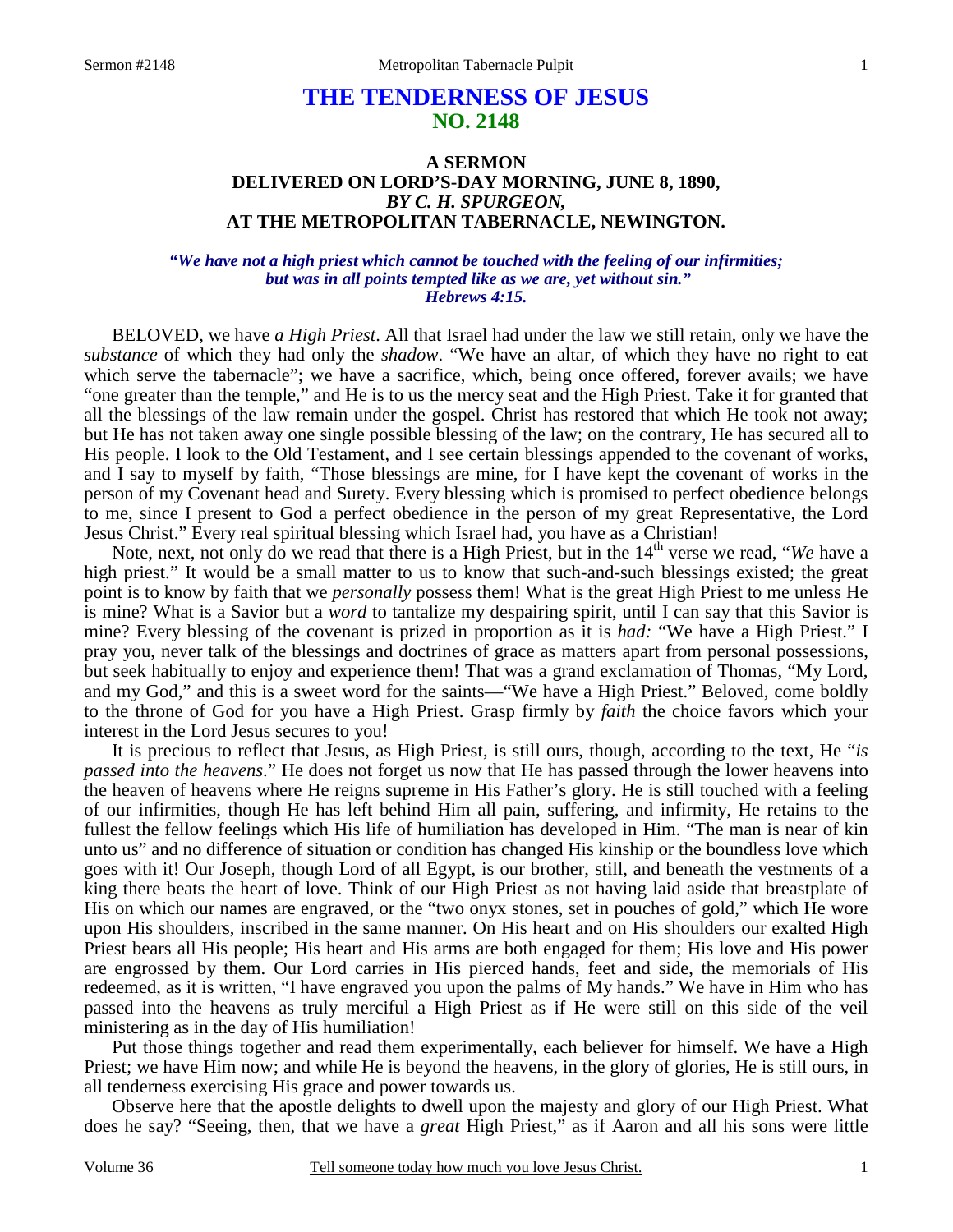# **THE TENDERNESS OF JESUS NO. 2148**

# **A SERMON DELIVERED ON LORD'S-DAY MORNING, JUNE 8, 1890,**  *BY C. H. SPURGEON,*  **AT THE METROPOLITAN TABERNACLE, NEWINGTON.**

### *"We have not a high priest which cannot be touched with the feeling of our infirmities; but was in all points tempted like as we are, yet without sin." Hebrews 4:15.*

BELOVED, we have *a High Priest*. All that Israel had under the law we still retain, only we have the *substance* of which they had only the *shadow*. "We have an altar, of which they have no right to eat which serve the tabernacle"; we have a sacrifice, which, being once offered, forever avails; we have "one greater than the temple," and He is to us the mercy seat and the High Priest. Take it for granted that all the blessings of the law remain under the gospel. Christ has restored that which He took not away; but He has not taken away one single possible blessing of the law; on the contrary, He has secured all to His people. I look to the Old Testament, and I see certain blessings appended to the covenant of works, and I say to myself by faith, "Those blessings are mine, for I have kept the covenant of works in the person of my Covenant head and Surety. Every blessing which is promised to perfect obedience belongs to me, since I present to God a perfect obedience in the person of my great Representative, the Lord Jesus Christ." Every real spiritual blessing which Israel had, you have as a Christian!

Note, next, not only do we read that there is a High Priest, but in the 14<sup>th</sup> verse we read, "*We* have a high priest." It would be a small matter to us to know that such-and-such blessings existed; the great point is to know by faith that we *personally* possess them! What is the great High Priest to me unless He is mine? What is a Savior but a *word* to tantalize my despairing spirit, until I can say that this Savior is mine? Every blessing of the covenant is prized in proportion as it is *had:* "We have a High Priest." I pray you, never talk of the blessings and doctrines of grace as matters apart from personal possessions, but seek habitually to enjoy and experience them! That was a grand exclamation of Thomas, "My Lord, and my God," and this is a sweet word for the saints—"We have a High Priest." Beloved, come boldly to the throne of God for you have a High Priest. Grasp firmly by *faith* the choice favors which your interest in the Lord Jesus secures to you!

 It is precious to reflect that Jesus, as High Priest, is still ours, though, according to the text, He "*is passed into the heavens*." He does not forget us now that He has passed through the lower heavens into the heaven of heavens where He reigns supreme in His Father's glory. He is still touched with a feeling of our infirmities, though He has left behind Him all pain, suffering, and infirmity, He retains to the fullest the fellow feelings which His life of humiliation has developed in Him. "The man is near of kin unto us" and no difference of situation or condition has changed His kinship or the boundless love which goes with it! Our Joseph, though Lord of all Egypt, is our brother, still, and beneath the vestments of a king there beats the heart of love. Think of our High Priest as not having laid aside that breastplate of His on which our names are engraved, or the "two onyx stones, set in pouches of gold," which He wore upon His shoulders, inscribed in the same manner. On His heart and on His shoulders our exalted High Priest bears all His people; His heart and His arms are both engaged for them; His love and His power are engrossed by them. Our Lord carries in His pierced hands, feet and side, the memorials of His redeemed, as it is written, "I have engraved you upon the palms of My hands." We have in Him who has passed into the heavens as truly merciful a High Priest as if He were still on this side of the veil ministering as in the day of His humiliation!

 Put those things together and read them experimentally, each believer for himself. We have a High Priest; we have Him now; and while He is beyond the heavens, in the glory of glories, He is still ours, in all tenderness exercising His grace and power towards us.

 Observe here that the apostle delights to dwell upon the majesty and glory of our High Priest. What does he say? "Seeing, then, that we have a *great* High Priest," as if Aaron and all his sons were little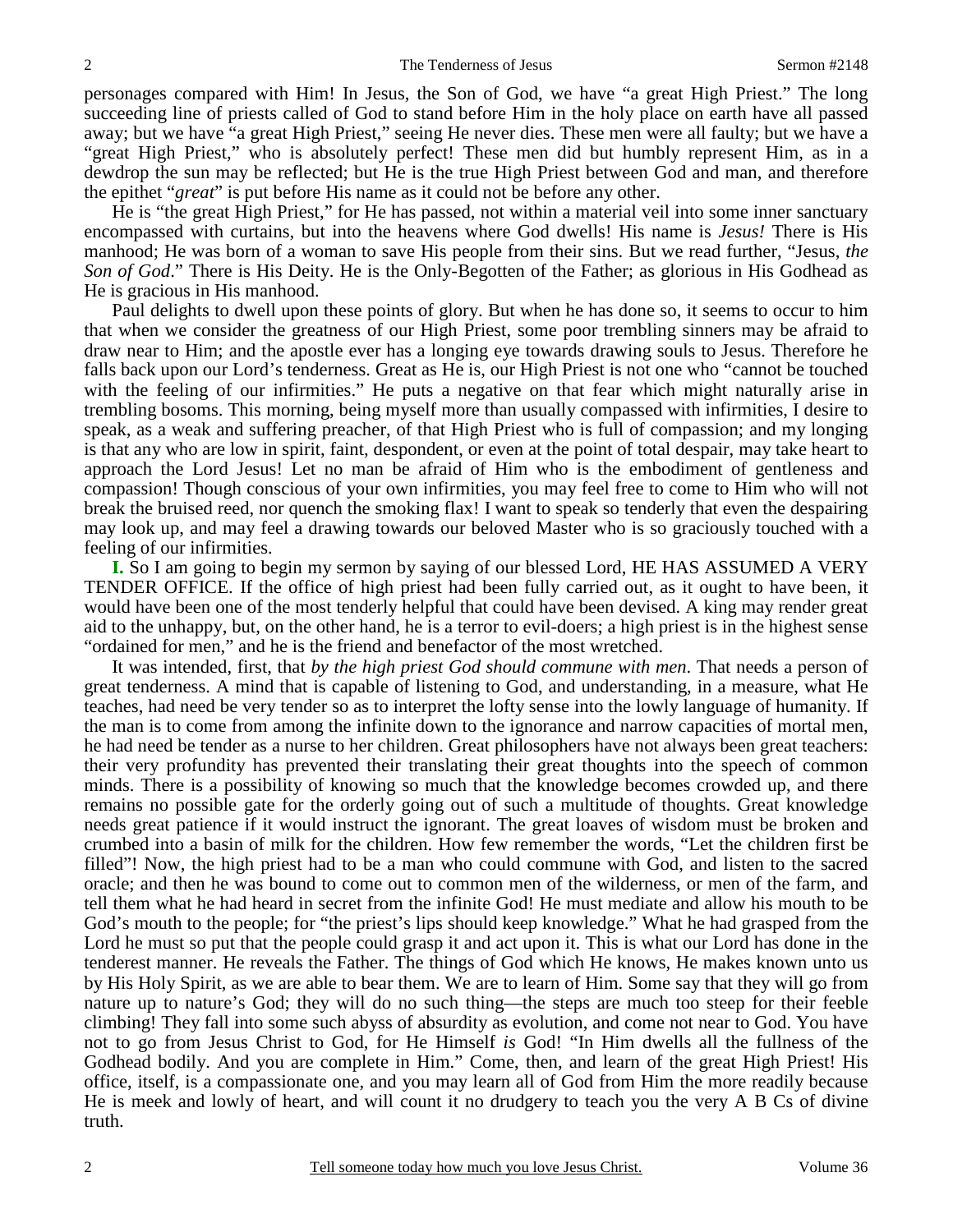personages compared with Him! In Jesus, the Son of God, we have "a great High Priest." The long succeeding line of priests called of God to stand before Him in the holy place on earth have all passed away; but we have "a great High Priest," seeing He never dies. These men were all faulty; but we have a "great High Priest," who is absolutely perfect! These men did but humbly represent Him, as in a dewdrop the sun may be reflected; but He is the true High Priest between God and man, and therefore the epithet "*great*" is put before His name as it could not be before any other.

 He is "the great High Priest," for He has passed, not within a material veil into some inner sanctuary encompassed with curtains, but into the heavens where God dwells! His name is *Jesus!* There is His manhood; He was born of a woman to save His people from their sins. But we read further, "Jesus, *the Son of God*." There is His Deity. He is the Only-Begotten of the Father; as glorious in His Godhead as He is gracious in His manhood.

 Paul delights to dwell upon these points of glory. But when he has done so, it seems to occur to him that when we consider the greatness of our High Priest, some poor trembling sinners may be afraid to draw near to Him; and the apostle ever has a longing eye towards drawing souls to Jesus. Therefore he falls back upon our Lord's tenderness. Great as He is, our High Priest is not one who "cannot be touched with the feeling of our infirmities." He puts a negative on that fear which might naturally arise in trembling bosoms. This morning, being myself more than usually compassed with infirmities, I desire to speak, as a weak and suffering preacher, of that High Priest who is full of compassion; and my longing is that any who are low in spirit, faint, despondent, or even at the point of total despair, may take heart to approach the Lord Jesus! Let no man be afraid of Him who is the embodiment of gentleness and compassion! Though conscious of your own infirmities, you may feel free to come to Him who will not break the bruised reed, nor quench the smoking flax! I want to speak so tenderly that even the despairing may look up, and may feel a drawing towards our beloved Master who is so graciously touched with a feeling of our infirmities.

**I.** So I am going to begin my sermon by saying of our blessed Lord, HE HAS ASSUMED A VERY TENDER OFFICE. If the office of high priest had been fully carried out, as it ought to have been, it would have been one of the most tenderly helpful that could have been devised. A king may render great aid to the unhappy, but, on the other hand, he is a terror to evil-doers; a high priest is in the highest sense "ordained for men," and he is the friend and benefactor of the most wretched.

 It was intended, first, that *by the high priest God should commune with men*. That needs a person of great tenderness. A mind that is capable of listening to God, and understanding, in a measure, what He teaches, had need be very tender so as to interpret the lofty sense into the lowly language of humanity. If the man is to come from among the infinite down to the ignorance and narrow capacities of mortal men, he had need be tender as a nurse to her children. Great philosophers have not always been great teachers: their very profundity has prevented their translating their great thoughts into the speech of common minds. There is a possibility of knowing so much that the knowledge becomes crowded up, and there remains no possible gate for the orderly going out of such a multitude of thoughts. Great knowledge needs great patience if it would instruct the ignorant. The great loaves of wisdom must be broken and crumbed into a basin of milk for the children. How few remember the words, "Let the children first be filled"! Now, the high priest had to be a man who could commune with God, and listen to the sacred oracle; and then he was bound to come out to common men of the wilderness, or men of the farm, and tell them what he had heard in secret from the infinite God! He must mediate and allow his mouth to be God's mouth to the people; for "the priest's lips should keep knowledge." What he had grasped from the Lord he must so put that the people could grasp it and act upon it. This is what our Lord has done in the tenderest manner. He reveals the Father. The things of God which He knows, He makes known unto us by His Holy Spirit, as we are able to bear them. We are to learn of Him. Some say that they will go from nature up to nature's God; they will do no such thing—the steps are much too steep for their feeble climbing! They fall into some such abyss of absurdity as evolution, and come not near to God. You have not to go from Jesus Christ to God, for He Himself *is* God! "In Him dwells all the fullness of the Godhead bodily. And you are complete in Him." Come, then, and learn of the great High Priest! His office, itself, is a compassionate one, and you may learn all of God from Him the more readily because He is meek and lowly of heart, and will count it no drudgery to teach you the very A B Cs of divine truth.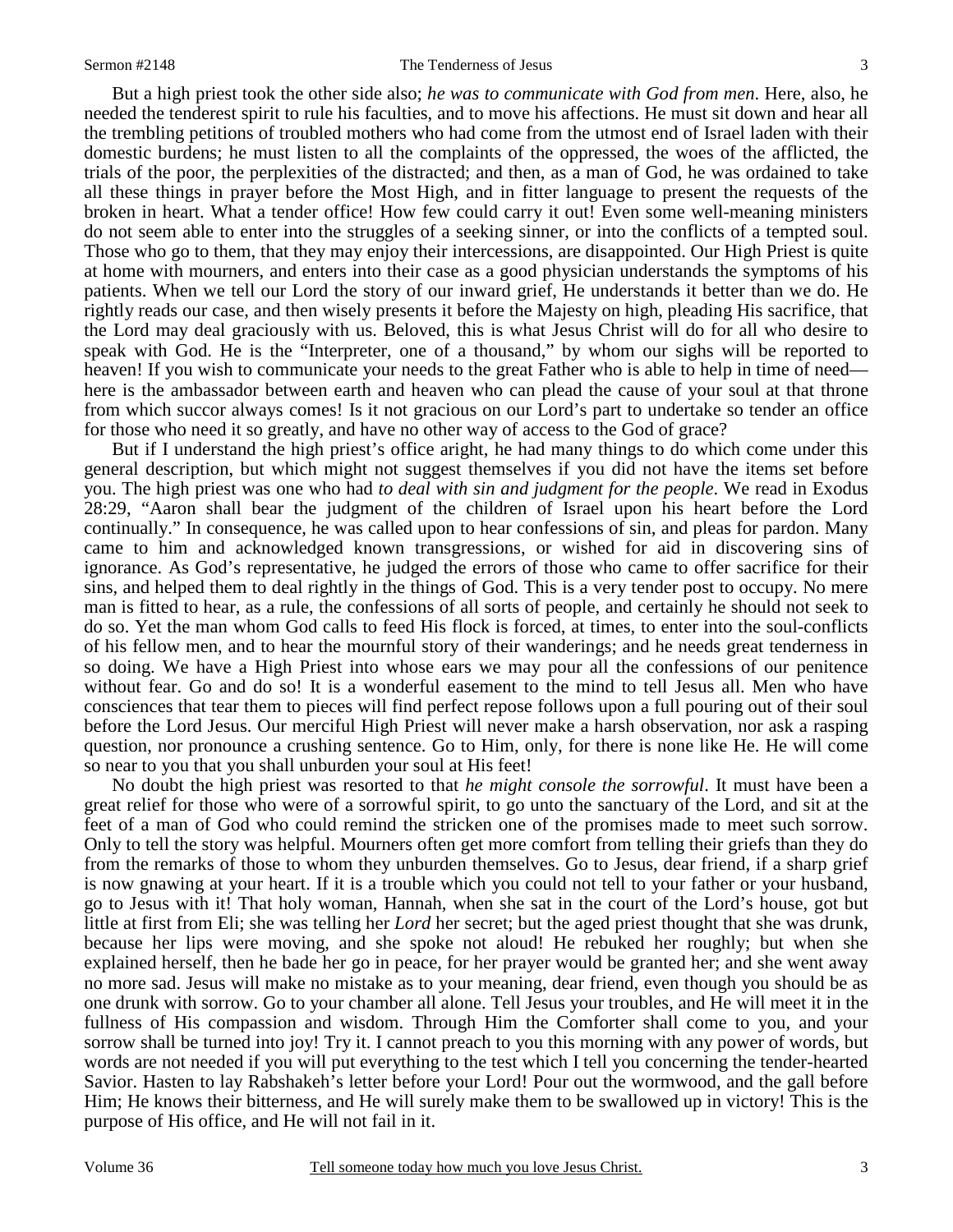#### Sermon #2148 The Tenderness of Jesus

 But a high priest took the other side also; *he was to communicate with God from men*. Here, also, he needed the tenderest spirit to rule his faculties, and to move his affections. He must sit down and hear all the trembling petitions of troubled mothers who had come from the utmost end of Israel laden with their domestic burdens; he must listen to all the complaints of the oppressed, the woes of the afflicted, the trials of the poor, the perplexities of the distracted; and then, as a man of God, he was ordained to take all these things in prayer before the Most High, and in fitter language to present the requests of the broken in heart. What a tender office! How few could carry it out! Even some well-meaning ministers do not seem able to enter into the struggles of a seeking sinner, or into the conflicts of a tempted soul. Those who go to them, that they may enjoy their intercessions, are disappointed. Our High Priest is quite at home with mourners, and enters into their case as a good physician understands the symptoms of his patients. When we tell our Lord the story of our inward grief, He understands it better than we do. He rightly reads our case, and then wisely presents it before the Majesty on high, pleading His sacrifice, that the Lord may deal graciously with us. Beloved, this is what Jesus Christ will do for all who desire to speak with God. He is the "Interpreter, one of a thousand," by whom our sighs will be reported to heaven! If you wish to communicate your needs to the great Father who is able to help in time of need here is the ambassador between earth and heaven who can plead the cause of your soul at that throne from which succor always comes! Is it not gracious on our Lord's part to undertake so tender an office for those who need it so greatly, and have no other way of access to the God of grace?

 But if I understand the high priest's office aright, he had many things to do which come under this general description, but which might not suggest themselves if you did not have the items set before you. The high priest was one who had *to deal with sin and judgment for the people*. We read in Exodus 28:29, "Aaron shall bear the judgment of the children of Israel upon his heart before the Lord continually." In consequence, he was called upon to hear confessions of sin, and pleas for pardon. Many came to him and acknowledged known transgressions, or wished for aid in discovering sins of ignorance. As God's representative, he judged the errors of those who came to offer sacrifice for their sins, and helped them to deal rightly in the things of God. This is a very tender post to occupy. No mere man is fitted to hear, as a rule, the confessions of all sorts of people, and certainly he should not seek to do so. Yet the man whom God calls to feed His flock is forced, at times, to enter into the soul-conflicts of his fellow men, and to hear the mournful story of their wanderings; and he needs great tenderness in so doing. We have a High Priest into whose ears we may pour all the confessions of our penitence without fear. Go and do so! It is a wonderful easement to the mind to tell Jesus all. Men who have consciences that tear them to pieces will find perfect repose follows upon a full pouring out of their soul before the Lord Jesus. Our merciful High Priest will never make a harsh observation, nor ask a rasping question, nor pronounce a crushing sentence. Go to Him, only, for there is none like He. He will come so near to you that you shall unburden your soul at His feet!

 No doubt the high priest was resorted to that *he might console the sorrowful*. It must have been a great relief for those who were of a sorrowful spirit, to go unto the sanctuary of the Lord, and sit at the feet of a man of God who could remind the stricken one of the promises made to meet such sorrow. Only to tell the story was helpful. Mourners often get more comfort from telling their griefs than they do from the remarks of those to whom they unburden themselves. Go to Jesus, dear friend, if a sharp grief is now gnawing at your heart. If it is a trouble which you could not tell to your father or your husband, go to Jesus with it! That holy woman, Hannah, when she sat in the court of the Lord's house, got but little at first from Eli; she was telling her *Lord* her secret; but the aged priest thought that she was drunk, because her lips were moving, and she spoke not aloud! He rebuked her roughly; but when she explained herself, then he bade her go in peace, for her prayer would be granted her; and she went away no more sad. Jesus will make no mistake as to your meaning, dear friend, even though you should be as one drunk with sorrow. Go to your chamber all alone. Tell Jesus your troubles, and He will meet it in the fullness of His compassion and wisdom. Through Him the Comforter shall come to you, and your sorrow shall be turned into joy! Try it. I cannot preach to you this morning with any power of words, but words are not needed if you will put everything to the test which I tell you concerning the tender-hearted Savior. Hasten to lay Rabshakeh's letter before your Lord! Pour out the wormwood, and the gall before Him; He knows their bitterness, and He will surely make them to be swallowed up in victory! This is the purpose of His office, and He will not fail in it.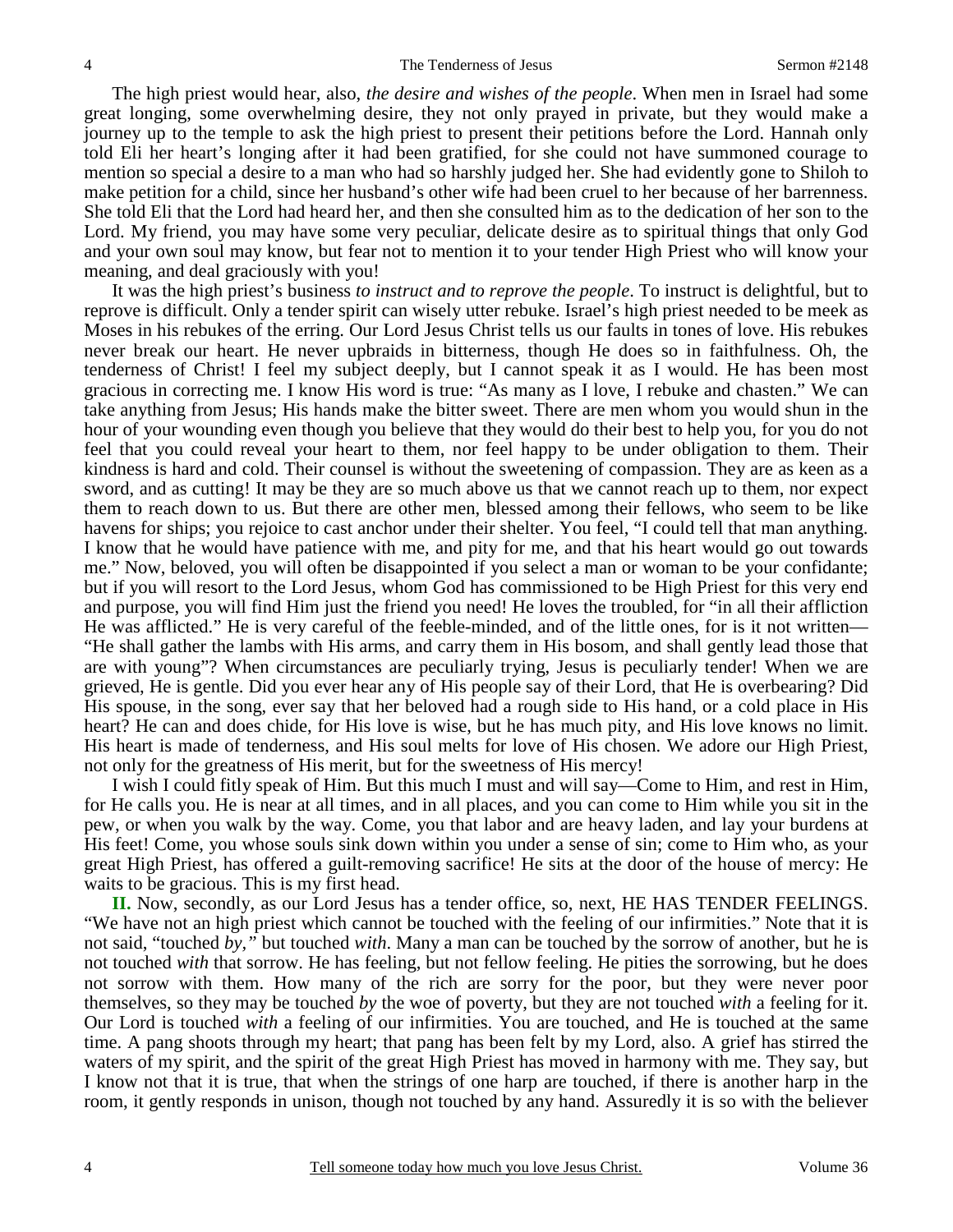The high priest would hear, also, *the desire and wishes of the people*. When men in Israel had some great longing, some overwhelming desire, they not only prayed in private, but they would make a journey up to the temple to ask the high priest to present their petitions before the Lord. Hannah only told Eli her heart's longing after it had been gratified, for she could not have summoned courage to mention so special a desire to a man who had so harshly judged her. She had evidently gone to Shiloh to make petition for a child, since her husband's other wife had been cruel to her because of her barrenness. She told Eli that the Lord had heard her, and then she consulted him as to the dedication of her son to the Lord. My friend, you may have some very peculiar, delicate desire as to spiritual things that only God and your own soul may know, but fear not to mention it to your tender High Priest who will know your meaning, and deal graciously with you!

 It was the high priest's business *to instruct and to reprove the people*. To instruct is delightful, but to reprove is difficult. Only a tender spirit can wisely utter rebuke. Israel's high priest needed to be meek as Moses in his rebukes of the erring. Our Lord Jesus Christ tells us our faults in tones of love. His rebukes never break our heart. He never upbraids in bitterness, though He does so in faithfulness. Oh, the tenderness of Christ! I feel my subject deeply, but I cannot speak it as I would. He has been most gracious in correcting me. I know His word is true: "As many as I love, I rebuke and chasten." We can take anything from Jesus; His hands make the bitter sweet. There are men whom you would shun in the hour of your wounding even though you believe that they would do their best to help you, for you do not feel that you could reveal your heart to them, nor feel happy to be under obligation to them. Their kindness is hard and cold. Their counsel is without the sweetening of compassion. They are as keen as a sword, and as cutting! It may be they are so much above us that we cannot reach up to them, nor expect them to reach down to us. But there are other men, blessed among their fellows, who seem to be like havens for ships; you rejoice to cast anchor under their shelter. You feel, "I could tell that man anything. I know that he would have patience with me, and pity for me, and that his heart would go out towards me." Now, beloved, you will often be disappointed if you select a man or woman to be your confidante; but if you will resort to the Lord Jesus, whom God has commissioned to be High Priest for this very end and purpose, you will find Him just the friend you need! He loves the troubled, for "in all their affliction He was afflicted." He is very careful of the feeble-minded, and of the little ones, for is it not written— "He shall gather the lambs with His arms, and carry them in His bosom, and shall gently lead those that are with young"? When circumstances are peculiarly trying, Jesus is peculiarly tender! When we are grieved, He is gentle. Did you ever hear any of His people say of their Lord, that He is overbearing? Did His spouse, in the song, ever say that her beloved had a rough side to His hand, or a cold place in His heart? He can and does chide, for His love is wise, but he has much pity, and His love knows no limit. His heart is made of tenderness, and His soul melts for love of His chosen. We adore our High Priest, not only for the greatness of His merit, but for the sweetness of His mercy!

 I wish I could fitly speak of Him. But this much I must and will say—Come to Him, and rest in Him, for He calls you. He is near at all times, and in all places, and you can come to Him while you sit in the pew, or when you walk by the way. Come, you that labor and are heavy laden, and lay your burdens at His feet! Come, you whose souls sink down within you under a sense of sin; come to Him who, as your great High Priest, has offered a guilt-removing sacrifice! He sits at the door of the house of mercy: He waits to be gracious. This is my first head.

**II.** Now, secondly, as our Lord Jesus has a tender office, so, next, HE HAS TENDER FEELINGS. "We have not an high priest which cannot be touched with the feeling of our infirmities." Note that it is not said, "touched *by,"* but touched *with*. Many a man can be touched by the sorrow of another, but he is not touched *with* that sorrow. He has feeling, but not fellow feeling. He pities the sorrowing, but he does not sorrow with them. How many of the rich are sorry for the poor, but they were never poor themselves, so they may be touched *by* the woe of poverty, but they are not touched *with* a feeling for it. Our Lord is touched *with* a feeling of our infirmities. You are touched, and He is touched at the same time. A pang shoots through my heart; that pang has been felt by my Lord, also. A grief has stirred the waters of my spirit, and the spirit of the great High Priest has moved in harmony with me. They say, but I know not that it is true, that when the strings of one harp are touched, if there is another harp in the room, it gently responds in unison, though not touched by any hand. Assuredly it is so with the believer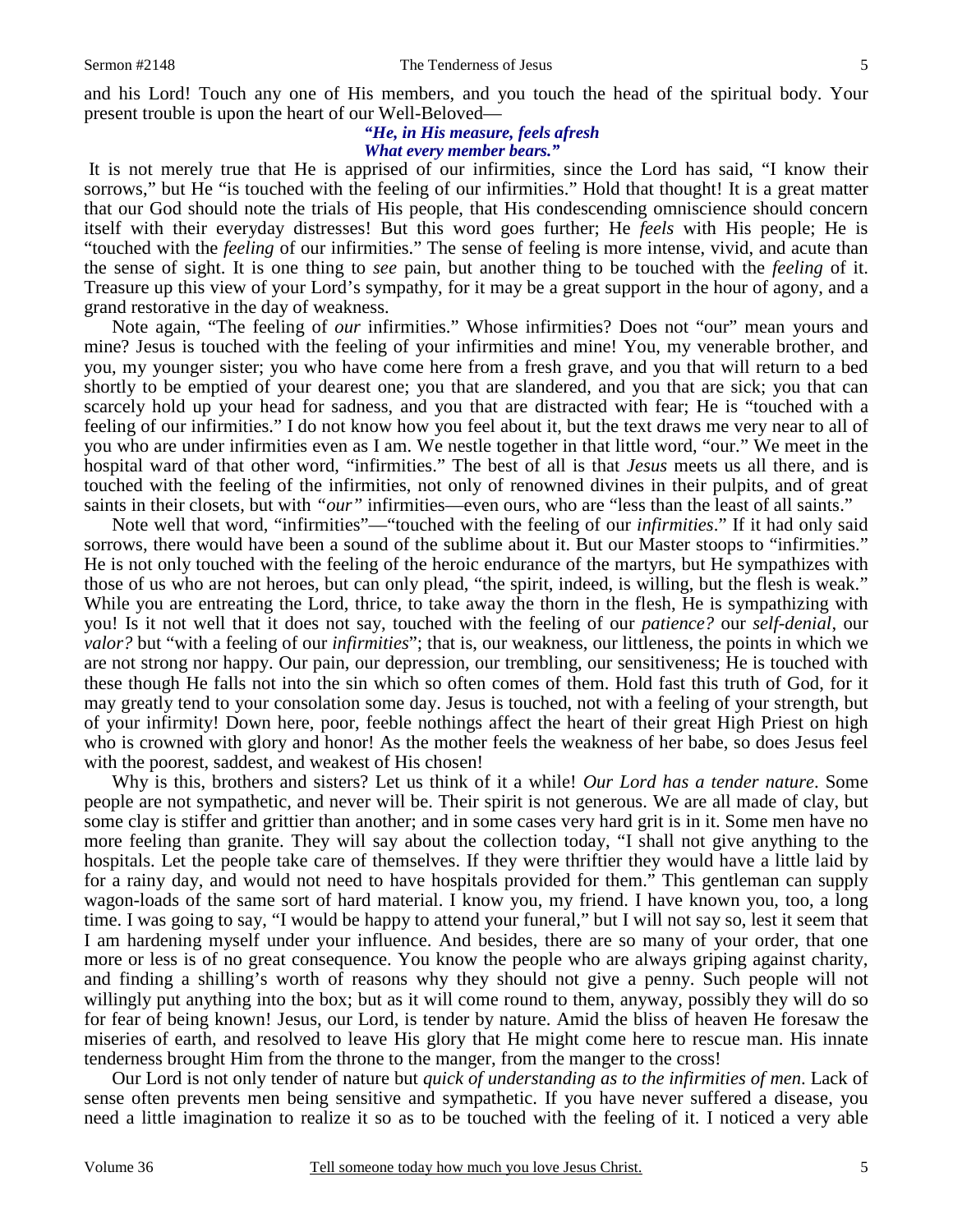and his Lord! Touch any one of His members, and you touch the head of the spiritual body. Your present trouble is upon the heart of our Well-Beloved—

#### *"He, in His measure, feels afresh What every member bears."*

It is not merely true that He is apprised of our infirmities, since the Lord has said, "I know their sorrows," but He "is touched with the feeling of our infirmities." Hold that thought! It is a great matter that our God should note the trials of His people, that His condescending omniscience should concern itself with their everyday distresses! But this word goes further; He *feels* with His people; He is "touched with the *feeling* of our infirmities." The sense of feeling is more intense, vivid, and acute than the sense of sight. It is one thing to *see* pain, but another thing to be touched with the *feeling* of it. Treasure up this view of your Lord's sympathy, for it may be a great support in the hour of agony, and a grand restorative in the day of weakness.

 Note again, "The feeling of *our* infirmities." Whose infirmities? Does not "our" mean yours and mine? Jesus is touched with the feeling of your infirmities and mine! You, my venerable brother, and you, my younger sister; you who have come here from a fresh grave, and you that will return to a bed shortly to be emptied of your dearest one; you that are slandered, and you that are sick; you that can scarcely hold up your head for sadness, and you that are distracted with fear; He is "touched with a feeling of our infirmities." I do not know how you feel about it, but the text draws me very near to all of you who are under infirmities even as I am. We nestle together in that little word, "our." We meet in the hospital ward of that other word, "infirmities." The best of all is that *Jesus* meets us all there, and is touched with the feeling of the infirmities, not only of renowned divines in their pulpits, and of great saints in their closets, but with *"our"* infirmities—even ours, who are "less than the least of all saints."

 Note well that word, "infirmities"—"touched with the feeling of our *infirmities*." If it had only said sorrows, there would have been a sound of the sublime about it. But our Master stoops to "infirmities." He is not only touched with the feeling of the heroic endurance of the martyrs, but He sympathizes with those of us who are not heroes, but can only plead, "the spirit, indeed, is willing, but the flesh is weak." While you are entreating the Lord, thrice, to take away the thorn in the flesh, He is sympathizing with you! Is it not well that it does not say, touched with the feeling of our *patience?* our *self-denial*, our *valor?* but "with a feeling of our *infirmities*"; that is, our weakness, our littleness, the points in which we are not strong nor happy. Our pain, our depression, our trembling, our sensitiveness; He is touched with these though He falls not into the sin which so often comes of them. Hold fast this truth of God, for it may greatly tend to your consolation some day. Jesus is touched, not with a feeling of your strength, but of your infirmity! Down here, poor, feeble nothings affect the heart of their great High Priest on high who is crowned with glory and honor! As the mother feels the weakness of her babe, so does Jesus feel with the poorest, saddest, and weakest of His chosen!

 Why is this, brothers and sisters? Let us think of it a while! *Our Lord has a tender nature*. Some people are not sympathetic, and never will be. Their spirit is not generous. We are all made of clay, but some clay is stiffer and grittier than another; and in some cases very hard grit is in it. Some men have no more feeling than granite. They will say about the collection today, "I shall not give anything to the hospitals. Let the people take care of themselves. If they were thriftier they would have a little laid by for a rainy day, and would not need to have hospitals provided for them." This gentleman can supply wagon-loads of the same sort of hard material. I know you, my friend. I have known you, too, a long time. I was going to say, "I would be happy to attend your funeral," but I will not say so, lest it seem that I am hardening myself under your influence. And besides, there are so many of your order, that one more or less is of no great consequence. You know the people who are always griping against charity, and finding a shilling's worth of reasons why they should not give a penny. Such people will not willingly put anything into the box; but as it will come round to them, anyway, possibly they will do so for fear of being known! Jesus, our Lord, is tender by nature. Amid the bliss of heaven He foresaw the miseries of earth, and resolved to leave His glory that He might come here to rescue man. His innate tenderness brought Him from the throne to the manger, from the manger to the cross!

 Our Lord is not only tender of nature but *quick of understanding as to the infirmities of men*. Lack of sense often prevents men being sensitive and sympathetic. If you have never suffered a disease, you need a little imagination to realize it so as to be touched with the feeling of it. I noticed a very able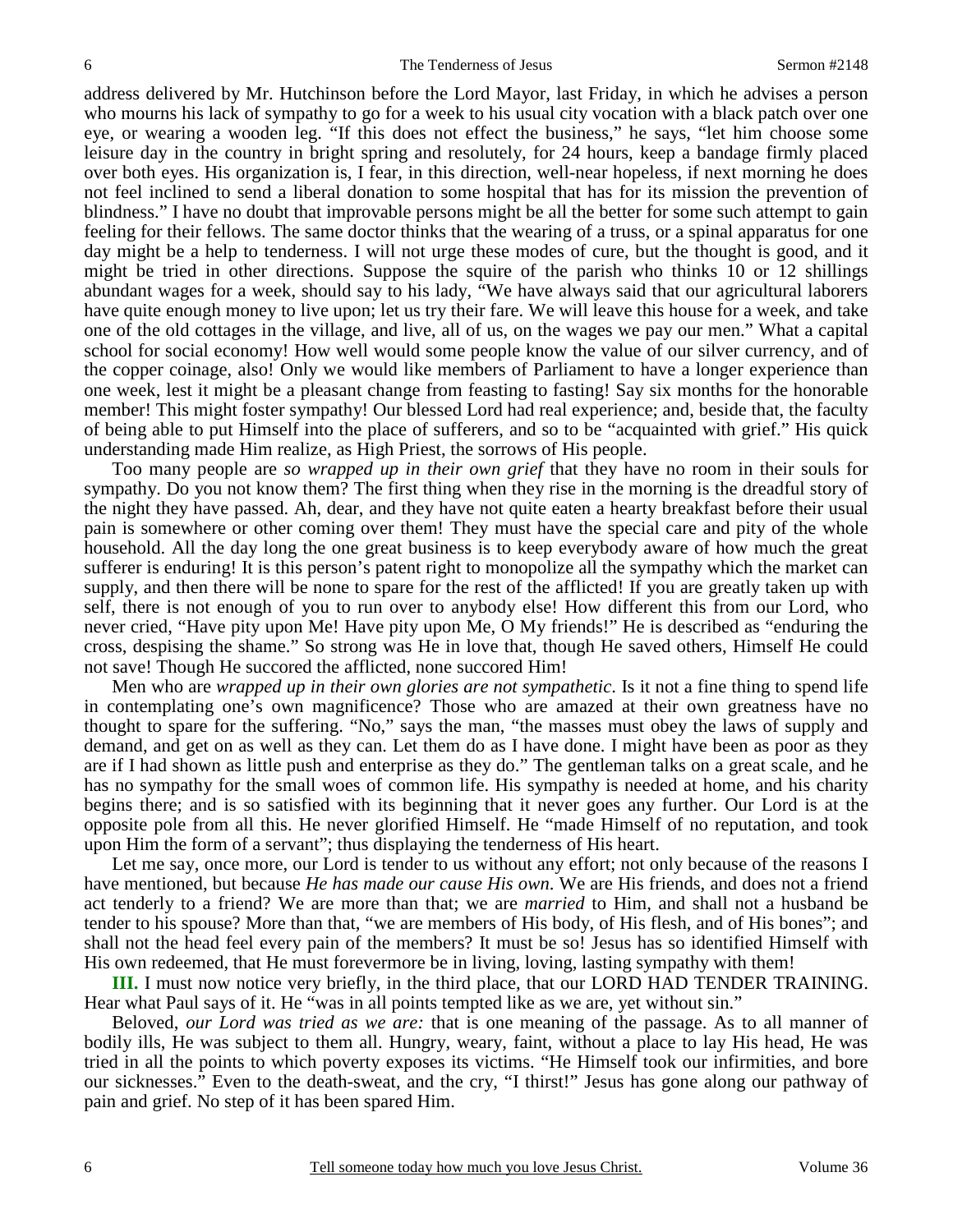address delivered by Mr. Hutchinson before the Lord Mayor, last Friday, in which he advises a person who mourns his lack of sympathy to go for a week to his usual city vocation with a black patch over one eye, or wearing a wooden leg. "If this does not effect the business," he says, "let him choose some leisure day in the country in bright spring and resolutely, for 24 hours, keep a bandage firmly placed over both eyes. His organization is, I fear, in this direction, well-near hopeless, if next morning he does not feel inclined to send a liberal donation to some hospital that has for its mission the prevention of blindness." I have no doubt that improvable persons might be all the better for some such attempt to gain feeling for their fellows. The same doctor thinks that the wearing of a truss, or a spinal apparatus for one day might be a help to tenderness. I will not urge these modes of cure, but the thought is good, and it might be tried in other directions. Suppose the squire of the parish who thinks 10 or 12 shillings abundant wages for a week, should say to his lady, "We have always said that our agricultural laborers have quite enough money to live upon; let us try their fare. We will leave this house for a week, and take one of the old cottages in the village, and live, all of us, on the wages we pay our men." What a capital school for social economy! How well would some people know the value of our silver currency, and of the copper coinage, also! Only we would like members of Parliament to have a longer experience than one week, lest it might be a pleasant change from feasting to fasting! Say six months for the honorable member! This might foster sympathy! Our blessed Lord had real experience; and, beside that, the faculty of being able to put Himself into the place of sufferers, and so to be "acquainted with grief." His quick understanding made Him realize, as High Priest, the sorrows of His people.

 Too many people are *so wrapped up in their own grief* that they have no room in their souls for sympathy. Do you not know them? The first thing when they rise in the morning is the dreadful story of the night they have passed. Ah, dear, and they have not quite eaten a hearty breakfast before their usual pain is somewhere or other coming over them! They must have the special care and pity of the whole household. All the day long the one great business is to keep everybody aware of how much the great sufferer is enduring! It is this person's patent right to monopolize all the sympathy which the market can supply, and then there will be none to spare for the rest of the afflicted! If you are greatly taken up with self, there is not enough of you to run over to anybody else! How different this from our Lord, who never cried, "Have pity upon Me! Have pity upon Me, O My friends!" He is described as "enduring the cross, despising the shame." So strong was He in love that, though He saved others, Himself He could not save! Though He succored the afflicted, none succored Him!

 Men who are *wrapped up in their own glories are not sympathetic*. Is it not a fine thing to spend life in contemplating one's own magnificence? Those who are amazed at their own greatness have no thought to spare for the suffering. "No," says the man, "the masses must obey the laws of supply and demand, and get on as well as they can. Let them do as I have done. I might have been as poor as they are if I had shown as little push and enterprise as they do." The gentleman talks on a great scale, and he has no sympathy for the small woes of common life. His sympathy is needed at home, and his charity begins there; and is so satisfied with its beginning that it never goes any further. Our Lord is at the opposite pole from all this. He never glorified Himself. He "made Himself of no reputation, and took upon Him the form of a servant"; thus displaying the tenderness of His heart.

 Let me say, once more, our Lord is tender to us without any effort; not only because of the reasons I have mentioned, but because *He has made our cause His own*. We are His friends, and does not a friend act tenderly to a friend? We are more than that; we are *married* to Him, and shall not a husband be tender to his spouse? More than that, "we are members of His body, of His flesh, and of His bones"; and shall not the head feel every pain of the members? It must be so! Jesus has so identified Himself with His own redeemed, that He must forevermore be in living, loving, lasting sympathy with them!

**III.** I must now notice very briefly, in the third place, that our LORD HAD TENDER TRAINING. Hear what Paul says of it. He "was in all points tempted like as we are, yet without sin."

 Beloved, *our Lord was tried as we are:* that is one meaning of the passage. As to all manner of bodily ills, He was subject to them all. Hungry, weary, faint, without a place to lay His head, He was tried in all the points to which poverty exposes its victims. "He Himself took our infirmities, and bore our sicknesses." Even to the death-sweat, and the cry, "I thirst!" Jesus has gone along our pathway of pain and grief. No step of it has been spared Him.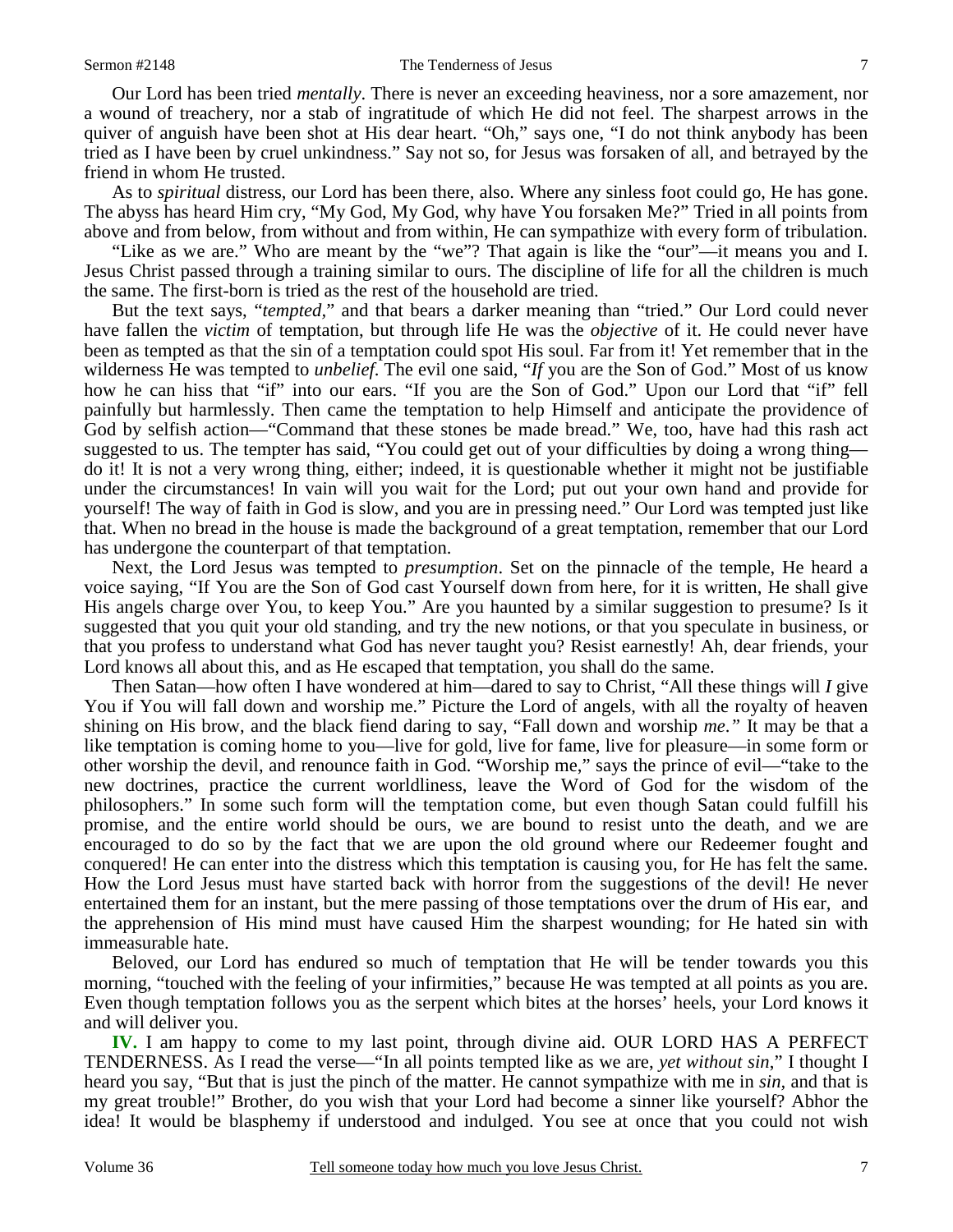Our Lord has been tried *mentally*. There is never an exceeding heaviness, nor a sore amazement, nor a wound of treachery, nor a stab of ingratitude of which He did not feel. The sharpest arrows in the quiver of anguish have been shot at His dear heart. "Oh," says one, "I do not think anybody has been tried as I have been by cruel unkindness." Say not so, for Jesus was forsaken of all, and betrayed by the friend in whom He trusted.

 As to *spiritual* distress, our Lord has been there, also. Where any sinless foot could go, He has gone. The abyss has heard Him cry, "My God, My God, why have You forsaken Me?" Tried in all points from above and from below, from without and from within, He can sympathize with every form of tribulation.

 "Like as we are." Who are meant by the "we"? That again is like the "our"—it means you and I. Jesus Christ passed through a training similar to ours. The discipline of life for all the children is much the same. The first-born is tried as the rest of the household are tried.

 But the text says, "*tempted,*" and that bears a darker meaning than "tried." Our Lord could never have fallen the *victim* of temptation, but through life He was the *objective* of it. He could never have been as tempted as that the sin of a temptation could spot His soul. Far from it! Yet remember that in the wilderness He was tempted to *unbelief*. The evil one said, "*If* you are the Son of God." Most of us know how he can hiss that "if" into our ears. "If you are the Son of God." Upon our Lord that "if" fell painfully but harmlessly. Then came the temptation to help Himself and anticipate the providence of God by selfish action—"Command that these stones be made bread." We, too, have had this rash act suggested to us. The tempter has said, "You could get out of your difficulties by doing a wrong thing do it! It is not a very wrong thing, either; indeed, it is questionable whether it might not be justifiable under the circumstances! In vain will you wait for the Lord; put out your own hand and provide for yourself! The way of faith in God is slow, and you are in pressing need." Our Lord was tempted just like that. When no bread in the house is made the background of a great temptation, remember that our Lord has undergone the counterpart of that temptation.

 Next, the Lord Jesus was tempted to *presumption*. Set on the pinnacle of the temple, He heard a voice saying, "If You are the Son of God cast Yourself down from here, for it is written, He shall give His angels charge over You, to keep You." Are you haunted by a similar suggestion to presume? Is it suggested that you quit your old standing, and try the new notions, or that you speculate in business, or that you profess to understand what God has never taught you? Resist earnestly! Ah, dear friends, your Lord knows all about this, and as He escaped that temptation, you shall do the same.

 Then Satan—how often I have wondered at him—dared to say to Christ, "All these things will *I* give You if You will fall down and worship me." Picture the Lord of angels, with all the royalty of heaven shining on His brow, and the black fiend daring to say, "Fall down and worship *me*.*"* It may be that a like temptation is coming home to you—live for gold, live for fame, live for pleasure—in some form or other worship the devil, and renounce faith in God. "Worship me," says the prince of evil—"take to the new doctrines, practice the current worldliness, leave the Word of God for the wisdom of the philosophers." In some such form will the temptation come, but even though Satan could fulfill his promise, and the entire world should be ours, we are bound to resist unto the death, and we are encouraged to do so by the fact that we are upon the old ground where our Redeemer fought and conquered! He can enter into the distress which this temptation is causing you, for He has felt the same. How the Lord Jesus must have started back with horror from the suggestions of the devil! He never entertained them for an instant, but the mere passing of those temptations over the drum of His ear, and the apprehension of His mind must have caused Him the sharpest wounding; for He hated sin with immeasurable hate.

 Beloved, our Lord has endured so much of temptation that He will be tender towards you this morning, "touched with the feeling of your infirmities," because He was tempted at all points as you are. Even though temptation follows you as the serpent which bites at the horses' heels, your Lord knows it and will deliver you.

**IV.** I am happy to come to my last point, through divine aid. OUR LORD HAS A PERFECT TENDERNESS. As I read the verse—"In all points tempted like as we are, *yet without sin*," I thought I heard you say, "But that is just the pinch of the matter. He cannot sympathize with me in *sin,* and that is my great trouble!" Brother, do you wish that your Lord had become a sinner like yourself? Abhor the idea! It would be blasphemy if understood and indulged. You see at once that you could not wish